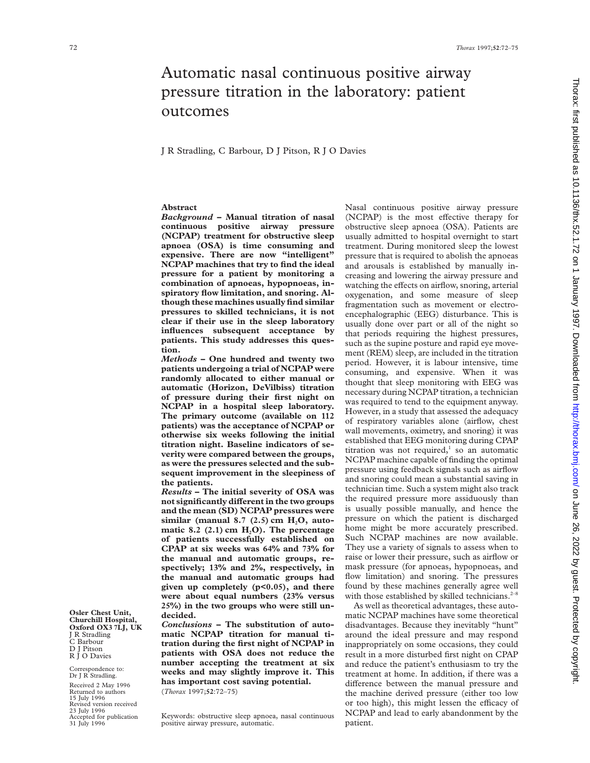# Automatic nasal continuous positive airway pressure titration in the laboratory: patient outcomes

# J R Stradling, C Barbour, D J Pitson, R J O Davies

**(NCPAP) treatment for obstructive sleep** usually admitted to hospital overnight to start **apnoea (OSA) is time consuming and** treatment. During monitored sleep the lowest **expensive. There are now "intelligent"** pressure that is required to abolish the apnoeas **NCPAP machines that try to find the ideal** and arousals is established by manually in-**NCPAP machines that try to find the ideal** and arousals is established by manually in-<br>**pressure for a patient by monitoring a** creasing and lowering the airway pressure and **pressure for a patient by monitoring a** creasing and lowering the airway pressure and **combination of apnoeas, hypopnoeas, in-** watching the effects on airflow, snoring, arterial **combination of apnoeas, hypopnoeas, in-** watching the effects on airflow, snoring, arterial **spiratory flow limitation, and snoring. Al-** oxygenation and some measure of sleep

**similar (manual 8.7 (2.5) cm H<sub>2</sub>O, auto-** pressure on which the patient is discharged matic 8.2 (2.1) cm H<sub>2</sub>O. The percentage home might be more accurately prescribed. **matic 8.2 (2.1) cm H<sub>2</sub>O). The percentage** home might be more accurately prescribed. **20** of **patients** successfully established on Such NCPAP machines are now available. **of patients successfully established on** Such NCPAP machines are now available.<br>CPAP at six weeks was 64% and 73% for They use a variety of signals to assess when to **CPAP at six weeks was 64% and 73% for the manual and automatic groups, re-** raise or lower their pressure, such as airflow or **spectively**: 13% and 2%, respectively, in mask pressure (for apnoeas, hypopnoeas, and spectively; 13% and 2%, respectively, in **the manual and automatic groups had** flow limitation) and snoring. The pressures given up completely (p<0.05), and there found by these machines generally agree well given up completely (p<0.05), and there **were about equal numbers (23% versus** with those established by skilled technicians.<sup>2-8</sup> **25%) in the two groups who were still un-** As well as theoretical advantages, these auto-

**Oxford OX3 7LJ, UK** *Conclusions* **– The substitution of auto-** disadvantages. Because they inevitably "hunt" weeks and may slightly improve it. This has important cost saving potential.

positive airway pressure, automatic.

Abstract<br> **Abstract Abstract Abstract Abstract Abstract Abstract Abstract Abstract Abstract Abstract Abstract Abstract Abstract Abstract Abstract Abstract Abstract Abstract Abstract Ab** *Background* – **Manual titration of nasal** (NCPAP) is the most effective therapy for **continuous positive airway pressure** obstructive sleep approac (OSA). Patients are **continuous** obstructive sleep apnoea (OSA). Patients are spiratory flow limitation, and snoring. Al-<br>
though these machines usually find similar fragmentation such as movement or electro-<br>
pressures to skilled technicians, it is not encephalographic (EEG) disturbance. This is<br> the patients.<br>
Results – The initial severity of OSA was<br>
not significantly different in the two groups<br>
and the mean (SD) NCPAP pressures were<br>
is usually possible manually, and hence the

Osler Chest Unit,<br> **Osler Chest Unit,**<br> **Conclusions – The substitution of auto-**<br> **Conclusions – The substitution of auto-**<br> **Conclusions – The substitution of auto-**<br> **Conclusions – The substitution of auto-**<br> **Conclusio** J R Stradling **matic NCPAP titration for manual ti-** around the ideal pressure and may respond C Barbour **C Barbour 10** J Pitson **tration during the first night of NCPAP in** inappropriately on some occasions, they could pa **patients with OSA does not reduce the** result in a more disturbed first night on CPAP **number** accepting the treatment at six and reduce the patient's enthusiasm to try the **number accepting the treatment at six** and reduce the patient's enthusiasm to try the Correspondence to:<br>
Dr J R Strading. **Example 1998** weeks and may slightly improve it. This treatment at home. In addition, if there wa Received 2 May 1996 **has important cost saving potential.** difference between the manual pressure and Returned to authors (*Thorax* 1997;52:72–75) the machine derived pressure (either too low Returned to authors (*Thorax* 1997;52:72–75) the machine derived pressure (either too low 15 July 1996) the machine derived pressure (either too low 15 July 1996) and the machine derived pressure (either too low 15 July 19 Revised version received<br>
23 July 1996<br>
Accepted for publication Meywords: obstructive sleep apnoea, nasal continuous NCPAP and lead to early abandonment by the <sup>23 July 1996</sup> Keywords: obstructive sleep apnoea, nasal continuous NCPAP and lead to early abandonment by the Accepted for publication by the Accepted for publication publication is a cepted for publication of publication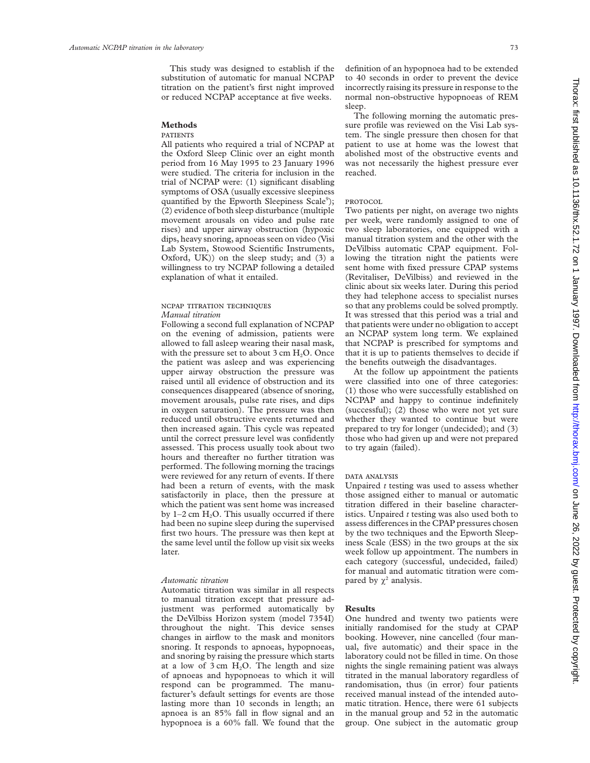the Oxford Sleep Clinic over an eight month period from 16 May 1995 to 23 January 1996 were studied. The criteria for inclusion in the reached. trial of NCPAP were: (1) significant disabling symptoms of OSA (usually excessive sleepiness quantified by the Epworth Sleepiness Scale<sup>9</sup>); (2) evidence of both sleep disturbance (multiple Two patients per night, on average two nights Lab System, Stowood Scientific Instruments, DeVilbiss automatic CPAP equipment. Fol-

Following a second full explanation of NCPAP that patients were under no obligation to accept on the evening of admission, patients were an NCPAP system long term. We explained allowed to fall asleep wearing their nasal mask, that NCPAP is prescribed for symptoms and with the pressure set to about  $3 \text{ cm H}_2\text{O}$ . Once that it is up to patients themselves to decide if the patient was asleep and was experiencing the benefits outweigh the disadvantages. upper airway obstruction the pressure was At the follow up appointment the patients raised until all evidence of obstruction and its were classified into one of three categories: consequences disappeared (absence of snoring, (1) those who were successfully established on movement arousals, pulse rate rises, and dips NCPAP and happy to continue indefinitely in oxygen saturation). The pressure was then (successful); (2) those who were not yet sure reduced until obstructive events returned and whether they wanted to continue but were then increased again. This cycle was repeated prepared to try for longer (undecided); and (3) until the correct pressure level was confidently those who had given up and were not prepared assessed. This process usually took about two to try again (failed). hours and thereafter no further titration was performed. The following morning the tracings were reviewed for any return of events. If there DATA ANALYSIS had been a return of events, with the mask Unpaired *t* testing was used to assess whether satisfactorily in place, then the pressure at those assigned either to manual or automatic which the patient was sent home was increased titration differed in their baseline characterwhich the patient was sent home was increased by 1–2 cm H<sub>2</sub>O. This usually occurred if there istics. Unpaired *t* testing was also used both to had been no supine sleep during the supervised assess differences in the CPAP pressures chosen had been no supine sleep during the supervised first two hours. The pressure was then kept at by the two techniques and the Epworth Sleepthe same level until the follow up visit six weeks iness Scale (ESS) in the two groups at the six later. week follow up appointment. The numbers in

Automatic titration was similar in all respects to manual titration except that pressure adjustment was performed automatically by **Results** throughout the night. This device senses initially randomised for the study at CPAP changes in airflow to the mask and monitors booking. However, nine cancelled (four mansnoring. It responds to apnoeas, hypopnoeas, ual, five automatic) and their space in the and snoring by raising the pressure which starts laboratory could not be filled in time. On those at a low of  $3 \text{ cm H}_2\text{O}$ . The length and size nights the single remaining patient was always of apnoeas and hypopnoeas to which it will titrated in the manual laboratory regardless of respond can be programmed. The manu- randomisation, thus (in error) four patients respond can be programmed. The manufacturer's default settings for events are those received manual instead of the intended autolasting more than 10 seconds in length; an matic titration. Hence, there were 61 subjects apnoea is an 85% fall in flow signal and an in the manual group and 52 in the automatic hypopnoea is a 60% fall. We found that the group. One subject in the automatic group

This study was designed to establish if the definition of an hypopnoea had to be extended substitution of automatic for manual NCPAP to 40 seconds in order to prevent the device titration on the patient's first night improved incorrectly raising its pressure in response to the or reduced NCPAP acceptance at five weeks. normal non-obstructive hypopnoeas of REM sleep.

The following morning the automatic pres-**Methods** Sure profile was reviewed on the Visi Lab sys tem. The single pressure then chosen for that All patients who required a trial of NCPAP at patient to use at home was the lowest that the Oxford Sleep Clinic over an eight month abolished most of the obstructive events and was not necessarily the highest pressure ever

## PROTOCOL

movement arousals on video and pulse rate per week, were randomly assigned to one of rises) and upper airway obstruction (hypoxic two sleep laboratories, one equipped with a dips, heavy snoring, apnoeas seen on video (Visi manual titration system and the other with the Oxford, UK)) on the sleep study; and (3) a lowing the titration night the patients were willingness to try NCPAP following a detailed sent home with fixed pressure CPAP systems explanation of what it entailed. (Revitaliser, DeVilbiss) and reviewed in the clinic about six weeks later. During this period they had telephone access to specialist nurses so that any problems could be solved promptly. *Manual titration* It was stressed that this period was a trial and an NCPAP system long term. We explained

each category (successful, undecided, failed) for manual and automatic titration were com-Automatic titration **b** area by  $\chi^2$  analysis.

One hundred and twenty two patients were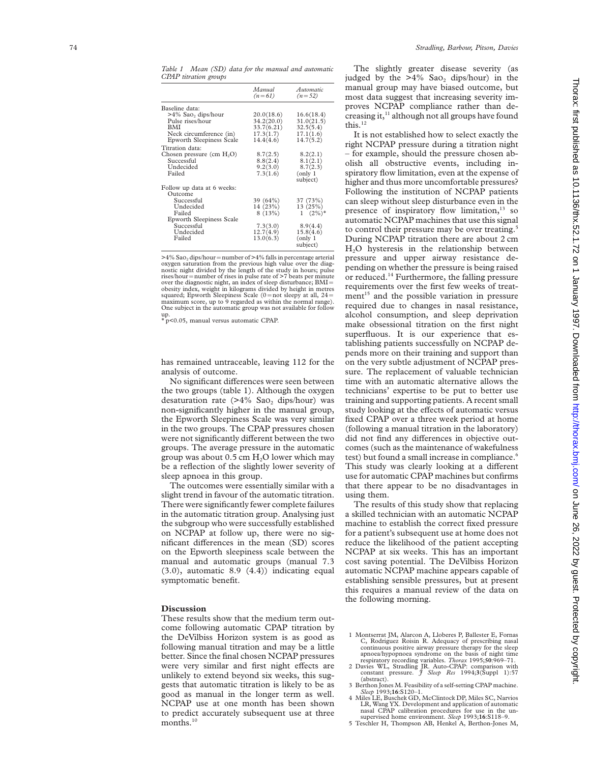*Table 1 Mean (SD) data for the manual and automatic* The slightly greater disease severity (as CPAP titration groups

|                                   | Manual<br>$(n=61)$ | Automatic<br>$(n=52)$ |
|-----------------------------------|--------------------|-----------------------|
| Baseline data:                    |                    |                       |
| $>4\%$ Sao <sub>2</sub> dips/hour | 20.0(18.6)         | 16.6(18.4)            |
| Pulse rises/hour                  | 34.2(20.0)         | 31.0(21.5)            |
| <b>BMI</b>                        | 33.7(6.21)         | 32.5(5.4)             |
| Neck circumference (in)           | 17.3(1.7)          | 17.1(1.6)             |
| <b>Epworth Sleepiness Scale</b>   | 14.4(4.6)          | 14.7(5.2)             |
| Titration data:                   |                    |                       |
| Chosen pressure $(cm H2O)$        | 8.7(2.5)           | 8.2(2.1)              |
| Successful                        | 8.8(2.4)           | 8.1(2.1)              |
| Undecided                         | 9.2(3.0)           | 8.7(2.3)              |
| Failed                            | 7.3(1.6)           | (only 1               |
|                                   |                    | subject)              |
| Follow up data at 6 weeks:        |                    |                       |
| Outcome                           |                    |                       |
| Successful                        | 39 (64%)           | 37 (73%)              |
| Undecided                         | 14 (23%)           | 13(25%)               |
| Failed                            | 8(13%)             | $1 \quad (2\%)^*$     |
| Epworth Sleepiness Scale          |                    |                       |
| Successful                        | 7.3(3.0)           | 8.9(4.4)              |
| Undecided                         | 12.7(4.9)          | 15.8(4.6)             |
| Failed                            | 13.0(6.3)          | (only 1               |
|                                   |                    | subject)              |
|                                   |                    |                       |

>4% Sa <sup>2</sup> dips/hour oxygen saturation from the previous ing watter over the diagonal pending on whether the pressure is being raised<br>nostic night divided by the length of the study in hours; pulse pending on whether the pressure is being rais squared; Epworth Sleepiness Scale (0=not sleepy at all,  $24 =$  ment<sup>15</sup> and the possible variation in pressure maximum score, up to 9 regarded as within the normal range). maximum score, up to 9 regarded as within the normal range).<br>One subject in the automatic group was not available for follow required due to changes in nasal resistance,

analysis of outcome. sure. The replacement of valuable technician

No significant differences were seen between the two groups (table 1). Although the oxygen technicians' expertise to be put to better use desaturation rate  $(>4\%$  Sao<sub>2</sub> dips/hour) was non-significantly higher in the manual group, the Epworth Sleepiness Scale was very similar fixed CPAP over a three week period at home in the two groups. The CPAP pressures chosen (following a manual titration in the laboratory) were not significantly di fferent between the two did not find any di groups. The average pressure in the automatic comes (such as the maintenance of wakefulness group was about 0.5 cm  $H_2O$  lower which may be a reflection of the slightly lower severity of sleep apnoea in this group. use for automatic CPAP machines but confirms

slight trend in favour of the automatic titration. using them. There were significantly fewer complete failures The results of this study show that replacing in the automatic titration group. Analysing just a skilled technician with an automatic NCPAP the subgroup who were successfully established machine to establish the correct fixed pressure on NCPAP at follow up, there were no sig- for a patient's subsequent use at home does not nificant differences in the mean (SD) scores on the Epworth sleepiness scale between the NCPAP at six weeks. This has an important manual and automatic groups (manual 7.3 cost saving potential. The DeVilbiss Horizon (3.0), automatic 8.9 (4.4)) indicating equal automatic NCPAP machine appears capable of symptomatic benefit. establishing sensible pressures, but at present

### **Discussion**

These results show that the medium term outcome following automatic CPAP titration by FRIEND TO THE STATE OF THE STATE OF A MONETATION SUCHER SERVER THE DEVIDISS HOTIZON SYSTEM IS AS SOOD AS C, RODITIOUS DOINING SOSTIVE AND THE SUCHER STATE OF A MONETA CONTINUOUS POSITIVE AND THE SUCHER STATES OF THE SUCHER better. Since the final chosen NCPAP pressures<br>were very similar and first night effects are<br>unlikely to extend beyond six weeks this sur-<br>unlikely to extend beyond six weeks this sur-<br>constant pressure. J. Sleep Res 1994; were very similar and first night effects are **3** unlikely to extend beyond six weeks, this sug-<br>gests that automatic titration is likely to be as 3 Berthon Jones M. Feasibility of a self-setting CPAP machine. good as manual in the longer term as well.  $S_{\text{leep}}$  1993;16:S120-1.<br>NCPAP use at one month has been shown LR, Wang YX. Development and application of automatic nasal CPAP calibration procedures for use in the un-<br>to predict accurately subsequent use at three masal CPAP calibration procedures for use in the un-<br>months.<sup>10</sup><br>5 Teschler H. Thompson AB. Henkel A. Berthon-Jones M.

*CPAP titration groups* judged by the >4% Sa <sup>2</sup> dips/hour) in the manual group may have biased outcome, but most data suggest that increasing severity improves NCPAP compliance rather than decreasing it,<sup>11</sup> although not all groups have found<br>this.<sup>12</sup><br>It is not established how to select exactly the

right NCPAP pressure during a titration night - for example, should the pressure chosen abolish all obstructive events, including inspiratory flow limitation, even at the expense of higher and thus more uncomfortable pressures? Following the institution of NCPAP patients<br>can sleep without sleep disturbance even in the Successful 39 (64%) 37 (73%) can sleep without sleep disturbance even in the Undecided 14 (23%) 13 (25%) presence of inspiratory flow limitation,<sup>13</sup> so automatic NCPAP machines that use this signal to control their pressure may be over treating.<sup>5</sup> During NCPAP titration there are about 2 cm  $H<sub>2</sub>O$  hysteresis in the relationship between  $>4\%$  Sao<sub>2</sub> dips/hour=number of  $>4\%$  falls in percentage arterial pressure and upper airway resistance de-<br>oxygen saturation from the previous high value over the diag-<br>position identifying the previous high value ove up. alcohol consumption, and sleep deprivation  $p<0.05$ , manual versus automatic CPAP. make obsessional titration on the first night superfluous. It is our experience that establishing patients successfully on NCPAP depends more on their training and support than has remained untraceable, leaving 112 for the on the very subtle adjustment of NCPAP prestime with an automatic alternative allows the training and supporting patients. A recent small study looking at the effects of automatic versus did not find any differences in objective outtest) but found a small increase in compliance. This study was clearly looking at a different The outcomes were essentially similar with a that there appear to be no disadvantages in

> reduce the likelihood of the patient accepting this requires a manual review of the data on the following morning.

- 
- 
- 
- 
- 5 Teschler H, Thompson AB, Henkel A, Berthon-Jones M,